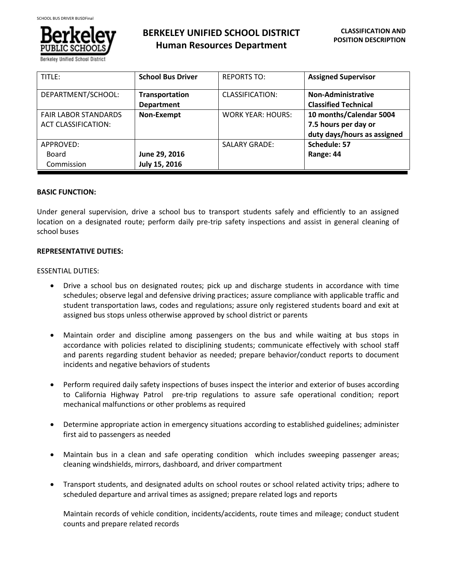

**BERKELEY UNIFIED SCHOOL DISTRICT Human Resources Department**

| TITLE:                      | <b>School Bus Driver</b> | <b>REPORTS TO:</b>       | <b>Assigned Supervisor</b>  |
|-----------------------------|--------------------------|--------------------------|-----------------------------|
| DEPARTMENT/SCHOOL:          | <b>Transportation</b>    | CLASSIFICATION:          | Non-Administrative          |
|                             | <b>Department</b>        |                          | <b>Classified Technical</b> |
| <b>FAIR LABOR STANDARDS</b> | <b>Non-Exempt</b>        | <b>WORK YEAR: HOURS:</b> | 10 months/Calendar 5004     |
| <b>ACT CLASSIFICATION:</b>  |                          |                          | 7.5 hours per day or        |
|                             |                          |                          | duty days/hours as assigned |
| APPROVED:                   |                          | <b>SALARY GRADE:</b>     | Schedule: 57                |
| Board                       | June 29, 2016            |                          | Range: 44                   |
| Commission                  | July 15, 2016            |                          |                             |

## **BASIC FUNCTION:**

Under general supervision, drive a school bus to transport students safely and efficiently to an assigned location on a designated route; perform daily pre-trip safety inspections and assist in general cleaning of school buses

# **REPRESENTATIVE DUTIES:**

## ESSENTIAL DUTIES:

- Drive a school bus on designated routes; pick up and discharge students in accordance with time schedules; observe legal and defensive driving practices; assure compliance with applicable traffic and student transportation laws, codes and regulations; assure only registered students board and exit at assigned bus stops unless otherwise approved by school district or parents
- Maintain order and discipline among passengers on the bus and while waiting at bus stops in accordance with policies related to disciplining students; communicate effectively with school staff and parents regarding student behavior as needed; prepare behavior/conduct reports to document incidents and negative behaviors of students
- Perform required daily safety inspections of buses inspect the interior and exterior of buses according to California Highway Patrol pre-trip regulations to assure safe operational condition; report mechanical malfunctions or other problems as required
- Determine appropriate action in emergency situations according to established guidelines; administer first aid to passengers as needed
- Maintain bus in a clean and safe operating condition which includes sweeping passenger areas; cleaning windshields, mirrors, dashboard, and driver compartment
- Transport students, and designated adults on school routes or school related activity trips; adhere to scheduled departure and arrival times as assigned; prepare related logs and reports

Maintain records of vehicle condition, incidents/accidents, route times and mileage; conduct student counts and prepare related records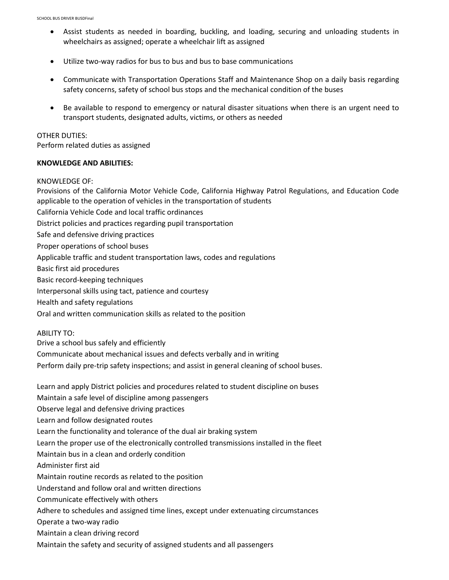- Assist students as needed in boarding, buckling, and loading, securing and unloading students in wheelchairs as assigned; operate a wheelchair lift as assigned
- Utilize two-way radios for bus to bus and bus to base communications
- Communicate with Transportation Operations Staff and Maintenance Shop on a daily basis regarding safety concerns, safety of school bus stops and the mechanical condition of the buses
- Be available to respond to emergency or natural disaster situations when there is an urgent need to transport students, designated adults, victims, or others as needed

#### OTHER DUTIES:

Perform related duties as assigned

### **KNOWLEDGE AND ABILITIES:**

## KNOWLEDGE OF:

Provisions of the California Motor Vehicle Code, California Highway Patrol Regulations, and Education Code applicable to the operation of vehicles in the transportation of students

- California Vehicle Code and local traffic ordinances
- District policies and practices regarding pupil transportation
- Safe and defensive driving practices
- Proper operations of school buses
- Applicable traffic and student transportation laws, codes and regulations
- Basic first aid procedures
- Basic record-keeping techniques
- Interpersonal skills using tact, patience and courtesy
- Health and safety regulations
- Oral and written communication skills as related to the position

### ABILITY TO:

- Drive a school bus safely and efficiently
- Communicate about mechanical issues and defects verbally and in writing
- Perform daily pre-trip safety inspections; and assist in general cleaning of school buses.

Learn and apply District policies and procedures related to student discipline on buses Maintain a safe level of discipline among passengers Observe legal and defensive driving practices Learn and follow designated routes Learn the functionality and tolerance of the dual air braking system Learn the proper use of the electronically controlled transmissions installed in the fleet Maintain bus in a clean and orderly condition Administer first aid Maintain routine records as related to the position Understand and follow oral and written directions Communicate effectively with others Adhere to schedules and assigned time lines, except under extenuating circumstances Operate a two-way radio Maintain a clean driving record Maintain the safety and security of assigned students and all passengers